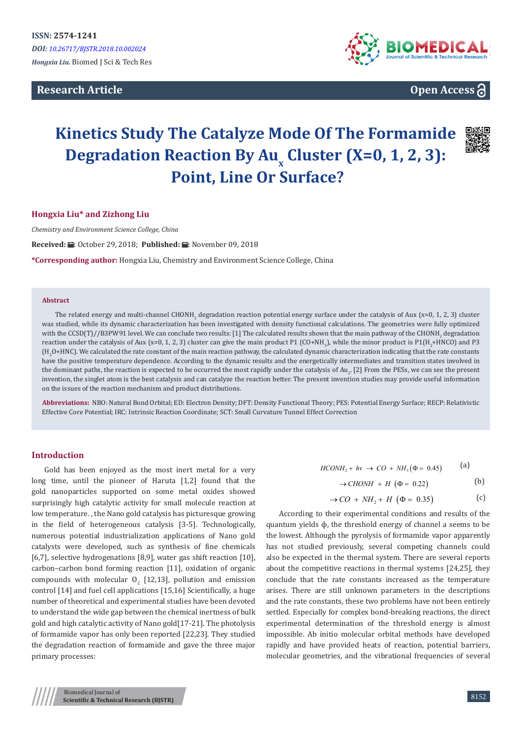**Research Article**



# **Open Access**

# **Kinetics Study The Catalyze Mode Of The Formamide Degradation Reaction By Au<sup>x</sup> Cluster (X=0, 1, 2, 3): Point, Line Or Surface?**



# **Hongxia Liu\* and Zizhong Liu**

*Chemistry and Environment Science College, China*

Received: *:* . October 29, 2018; Published: . November 09, 2018

**\*Corresponding author:** Hongxia Liu, Chemistry and Environment Science College, China

#### **Abstract**

The related energy and multi-channel CHONH<sub>2</sub> degradation reaction potential energy surface under the catalysis of Aux (x=0, 1, 2, 3) cluster was studied, while its dynamic characterization has been investigated with density functional calculations. The geometries were fully optimized with the CCSD(T)//B3PW91 level. We can conclude two results: [1] The calculated results shown that the main pathway of the CHONH<sub>2</sub> degradation reaction under the catalysis of Aux (x=0, 1, 2, 3) cluster can give the main product P1 (CO+NH<sub>3</sub>), while the minor product is P1(H<sub>2</sub>+HNCO) and P3 (H2 O+HNC). We calculated the rate constant of the main reaction pathway, the calculated dynamic characterization indicating that the rate constants have the positive temperature dependence. According to the dynamic results and the energetically intermediates and transition states involved in the dominant paths, the reaction is expected to be occurred the most rapidly under the catalysis of Au $_2$ . [2] From the PESs, we can see the present invention, the singlet atom is the best catalysis and can catalyze the reaction better. The present invention studies may provide useful information on the issues of the reaction mechanism and product distributions.

**Abbreviations:** NBO: Natural Bond Orbital; ED: Electron Density; DFT: Density Functional Theory; PES: Potential Energy Surface; RECP: Relativistic Effective Core Potential; IRC: Intrinsic Reaction Coordinate; SCT: Small Curvature Tunnel Effect Correction

# **Introduction**

Gold has been enjoyed as the most inert metal for a very long time, until the pioneer of Haruta [1,2] found that the gold nanoparticles supported on some metal oxides showed surprisingly high catalytic activity for small molecule reaction at low temperature. , the Nano gold catalysis has picturesque growing in the field of heterogeneous catalysis [3-5]. Technologically, numerous potential industrialization applications of Nano gold catalysts were developed, such as synthesis of fine chemicals [6,7], selective hydrogenations [8,9], water gas shift reaction [10], carbon–carbon bond forming reaction [11], oxidation of organic compounds with molecular  $O_2$  [12,13], pollution and emission control [14] and fuel cell applications [15,16] Scientifically, a huge number of theoretical and experimental studies have been devoted to understand the wide gap between the chemical inertness of bulk gold and high catalytic activity of Nano gold[17-21]. The photolysis of formamide vapor has only been reported [22,23]. They studied the degradation reaction of formamide and gave the three major primary processes:

 $HCONH_2 + hv \to CO + NH_3(\Phi = 0.45)$  (a)

$$
\rightarrow CHONH + H \ (\Phi = 0.22)
$$
 (b)

$$
\rightarrow CO + NH_2 + H \left(\Phi = 0.35\right) \tag{c}
$$

According to their experimental conditions and results of the quantum yields ɸ, the threshold energy of channel a seems to be the lowest. Although the pyrolysis of formamide vapor apparently has not studied previously, several competing channels could also be expected in the thermal system. There are several reports about the competitive reactions in thermal systems [24,25], they conclude that the rate constants increased as the temperature arises. There are still unknown parameters in the descriptions and the rate constants, these two problems have not been entirely settled. Especially for complex bond-breaking reactions, the direct experimental determination of the threshold energy is almost impossible. Ab initio molecular orbital methods have developed rapidly and have provided heats of reaction, potential barriers, molecular geometries, and the vibrational frequencies of several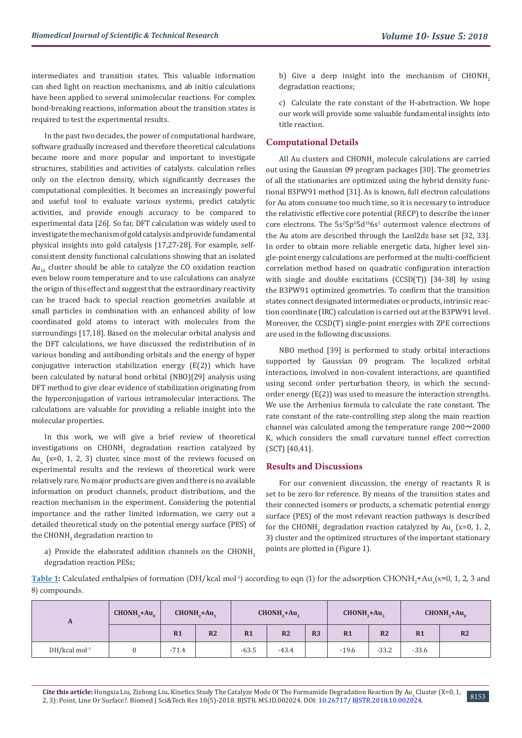intermediates and transition states. This valuable information can shed light on reaction mechanisms, and ab initio calculations have been applied to several unimolecular reactions. For complex bond-breaking reactions, information about the transition states is required to test the experimental results.

In the past two decades, the power of computational hardware, software gradually increased and therefore theoretical calculations became more and more popular and important to investigate structures, stabilities and activities of catalysts. calculation relies only on the electron density, which significantly decreases the computational complexities. It becomes an increasingly powerful and useful tool to evaluate various systems, predict catalytic activities, and provide enough accuracy to be compared to experimental data [26]. So far, DFT calculation was widely used to investigate the mechanism of gold catalysis and provide fundamental physical insights into gold catalysis [17,27-28]. For example, selfconsistent density functional calculations showing that an isolated  $Au_{10}$  cluster should be able to catalyze the CO oxidation reaction even below room temperature and to use calculations can analyze the origin of this effect and suggest that the extraordinary reactivity can be traced back to special reaction geometries available at small particles in combination with an enhanced ability of low coordinated gold atoms to interact with molecules from the surroundings [17,18]. Based on the molecular orbital analysis and the DFT calculations, we have discussed the redistribution of in various bonding and antibonding orbitals and the energy of hyper conjugative interaction stabilization energy (E(2)) which have been calculated by natural bond orbital (NBO)[29] analysis using DFT method to give clear evidence of stabilization originating from the hyperconjugation of various intramolecular interactions. The calculations are valuable for providing a reliable insight into the molecular properties.

In this work, we will give a brief review of theoretical investigations on  $\tt{CHONH}_{2}$  degradation reaction catalyzed by  ${\rm Au}_{\rm x}$  (x=0, 1, 2, 3) cluster, since most of the reviews focused on experimental results and the reviews of theoretical work were relatively rare. No major products are given and there is no available information on product channels, product distributions, and the reaction mechanism in the experiment. Considering the potential importance and the rather limited information, we carry out a detailed theoretical study on the potential energy surface (PES) of the  $\tt{CHONH}_2$  degradation reaction to

a) Provide the elaborated addition channels on the CHONH<sub>2</sub> degradation reaction PESs;

b) Give a deep insight into the mechanism of  $CHONH<sub>2</sub>$ degradation reactions;

c) Calculate the rate constant of the H-abstraction. We hope our work will provide some valuable fundamental insights into title reaction.

# **Computational Details**

All Au clusters and  $CHONH<sub>2</sub>$  molecule calculations are carried out using the Gaussian 09 program packages [30]. The geometries of all the stationaries are optimized using the hybrid density functional B3PW91 method [31]. As is known, full electron calculations for Au atom consume too much time, so it is necessary to introduce the relativistic effective core potential (RECP) to describe the inner core electrons. The  $5s<sup>2</sup>5p<sup>6</sup>5d<sup>10</sup>6s<sup>1</sup>$  outermost valence electrons of the Au atom are described through the Lanl2dz base set [32, 33]. In order to obtain more reliable energetic data, higher level single-point energy calculations are performed at the multi-coefficient correlation method based on quadratic configuration interaction with single and double excitations (CCSD(T)) [34-38] by using the B3PW91 optimized geometries. To confirm that the transition states connect designated intermediates or products, intrinsic reaction coordinate (IRC) calculation is carried out at the B3PW91 level. Moreover, the CCSD(T) single-point energies with ZPE corrections are used in the following discussions.

NBO method [39] is performed to study orbital interactions supported by Gaussian 09 program. The localized orbital interactions, involved in non-covalent interactions, are quantified using second order perturbation theory, in which the secondorder energy (E(2)) was used to measure the interaction strengths. We use the Arrhenius formula to calculate the rate constant. The rate constant of the rate-controlling step along the main reaction channel was calculated among the temperature range  $200 \sim 2000$ K, which considers the small curvature tunnel effect correction (SCT) [40,41].

# **Results and Discussions**

For our convenient discussion, the energy of reactants R is set to be zero for reference. By means of the transition states and their connected isomers or products, a schematic potential energy surface (PES) of the most relevant reaction pathways is described for the CHONH<sub>2</sub> degradation reaction catalyzed by Au<sub>x</sub> (x=0, 1, 2, 3) cluster and the optimized structures of the important stationary points are plotted in (Figure 1).

**Table 1:** Calculated enthalpies of formation (DH/kcal mol<sup>-1</sup>) according to eqn (1) for the adsorption CHONH<sub>2</sub>+Au<sub>x</sub>(x=0, 1, 2, 3 and 8) compounds.

| A                           | $CHONH2+Au0$ | CHONH <sub>2</sub> +Au <sub>2</sub> |                |         | $CHONH2+Au2$   |                | CHONH <sub>2</sub> +Au <sub>2</sub> |                |         | $CHONH2+Auo$   |
|-----------------------------|--------------|-------------------------------------|----------------|---------|----------------|----------------|-------------------------------------|----------------|---------|----------------|
|                             |              | R1                                  | R <sub>2</sub> | R1      | R <sub>2</sub> | R <sub>3</sub> | R1                                  | R <sub>2</sub> | R1      | R <sub>2</sub> |
| $DH/kcal$ mol <sup>-1</sup> |              | $-71.4$                             |                | $-63.5$ | $-43.4$        |                | $-19.6$                             | $-33.2$        | $-33.6$ |                |

8153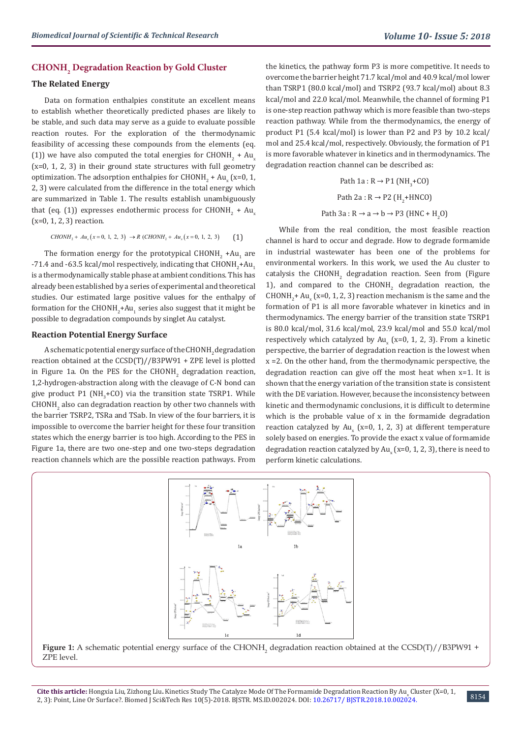# **CHONH2 Degradation Reaction by Gold Cluster**

# **The Related Energy**

Data on formation enthalpies constitute an excellent means to establish whether theoretically predicted phases are likely to be stable, and such data may serve as a guide to evaluate possible reaction routes. For the exploration of the thermodynamic feasibility of accessing these compounds from the elements (eq. (1)) we have also computed the total energies for  $CHONH_2 + Au_x$  $(x=0, 1, 2, 3)$  in their ground state structures with full geometry optimization. The adsorption enthalpies for  $CHONH_2 + Au_x$  (x=0, 1, 2, 3) were calculated from the difference in the total energy which are summarized in Table 1. The results establish unambiguously that (eq. (1)) expresses endothermic process for  $\mathtt{CHONH}_2$  +  $\mathtt{Au}_{\mathrm{x}}$ (x=0, 1, 2, 3) reaction.

$$
CHONH_2 + Au_x(x=0, 1, 2, 3) \rightarrow R \ (CHONH_2 + Au_x(x=0, 1, 2, 3) \tag{1}
$$

The formation energy for the prototypical  $CHONH_2$  +Au<sub>1</sub> are -71.4 and -63.5 kcal/mol respectively, indicating that  $\text{CHONH}_{2}$ + $\text{Au}_{1}$ is a thermodynamically stable phase at ambient conditions. This has already been established by a series of experimental and theoretical studies. Our estimated large positive values for the enthalpy of formation for the  $\text{CHONH}_{2}\text{+Au}_{1}$  series also suggest that it might be possible to degradation compounds by singlet Au catalyst.

#### **Reaction Potential Energy Surface**

A schematic potential energy surface of the CHONH<sub>2</sub> degradation reaction obtained at the CCSD(T)//B3PW91 + ZPE level is plotted in Figure 1a. On the PES for the  $CHONH_{2}$  degradation reaction, 1,2-hydrogen-abstraction along with the cleavage of C-N bond can give product P1 (NH<sub>3</sub>+CO) via the transition state TSRP1. While  $\mathtt{CHONH}_2$  also can degradation reaction by other two channels with the barrier TSRP2, TSRa and TSab. In view of the four barriers, it is impossible to overcome the barrier height for these four transition states which the energy barrier is too high. According to the PES in Figure 1a, there are two one-step and one two-steps degradation reaction channels which are the possible reaction pathways. From

the kinetics, the pathway form P3 is more competitive. It needs to overcome the barrier height 71.7 kcal/mol and 40.9 kcal/mol lower than TSRP1 (80.0 kcal/mol) and TSRP2 (93.7 kcal/mol) about 8.3 kcal/mol and 22.0 kcal/mol. Meanwhile, the channel of forming P1 is one-step reaction pathway which is more feasible than two-steps reaction pathway. While from the thermodynamics, the energy of product P1 (5.4 kcal/mol) is lower than P2 and P3 by 10.2 kcal/ mol and 25.4 kcal/mol, respectively. Obviously, the formation of P1 is more favorable whatever in kinetics and in thermodynamics. The degradation reaction channel can be described as:

Path 1a : R 
$$
\rightarrow
$$
 P1 (NH<sub>3</sub>+CO)  
Path 2a : R  $\rightarrow$  P2 (H<sub>2</sub>+HNCO)  
Path 3a : R  $\rightarrow$  a  $\rightarrow$  b  $\rightarrow$  P3 (HNC + H<sub>2</sub>O)

While from the real condition, the most feasible reaction channel is hard to occur and degrade. How to degrade formamide in industrial wastewater has been one of the problems for environmental workers. In this work, we used the Au cluster to catalysis the  $CHONH<sub>2</sub>$  degradation reaction. Seen from (Figure 1), and compared to the  $CHONH<sub>2</sub>$  degradation reaction, the CHONH<sub>2</sub>+ Au<sub>x</sub> (x=0, 1, 2, 3) reaction mechanism is the same and the formation of P1 is all more favorable whatever in kinetics and in thermodynamics. The energy barrier of the transition state TSRP1 is 80.0 kcal/mol, 31.6 kcal/mol, 23.9 kcal/mol and 55.0 kcal/mol respectively which catalyzed by  ${\rm Au}_{_{\rm X}}$  (x=0, 1, 2, 3). From a kinetic perspective, the barrier of degradation reaction is the lowest when x =2. On the other hand, from the thermodynamic perspective, the degradation reaction can give off the most heat when x=1. It is shown that the energy variation of the transition state is consistent with the DE variation. However, because the inconsistency between kinetic and thermodynamic conclusions, it is difficult to determine which is the probable value of x in the formamide degradation reaction catalyzed by  $Au_{x}$  (x=0, 1, 2, 3) at different temperature solely based on energies. To provide the exact x value of formamide degradation reaction catalyzed by  ${\rm Au}_{\rm x}$  (x=0, 1, 2, 3), there is need to perform kinetic calculations.



Cite this article: Hongxia Liu, Zizhong Liu. Kinetics Study The Catalyze Mode Of The Formamide Degradation Reaction By Au<sub>x</sub> Cluster (X=0, 1,<br>Club that the Catalogue of The March 2007, 2007, 2008, 2007, 2008, 2008, 2009, 2 2, 3): Point, Line Or Surface?. Biomed J Sci&Tech Res 10(5)-2018. BJSTR. MS.ID.002024. DOI: [10.26717/ BJSTR.2018.10.002024](http://dx.doi.org/10.26717/BJSTR.2018.10.002024)[.](http://dx.doi.org/10.26717/BJSTR.2018.10.001999) 8154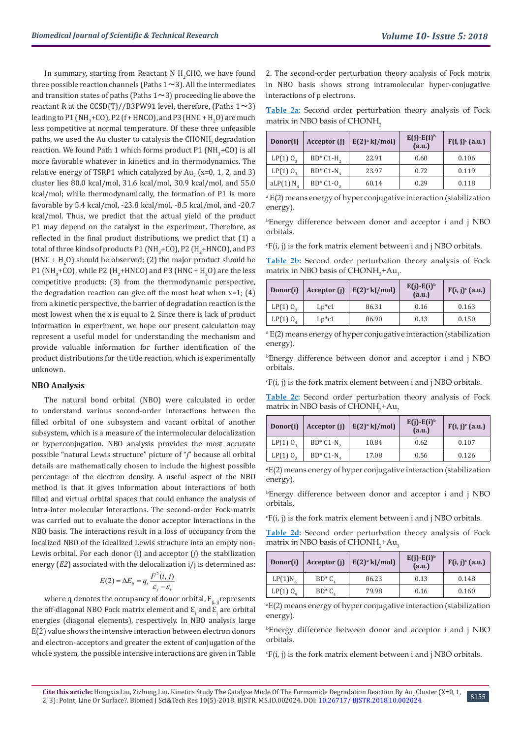In summary, starting from Reactant N  $H_2$ CHO, we have found three possible reaction channels (Paths  $1 \sim 3$ ). All the intermediates and transition states of paths (Paths  $1 \sim 3$ ) proceeding lie above the reactant R at the CCSD(T)//B3PW91 level, therefore, (Paths  $1 \sim 3$ ) leading to P1 (NH<sub>3</sub>+CO), P2 (f + HNCO), and P3 (HNC + H<sub>2</sub>O) are much less competitive at normal temperature. Of these three unfeasible paths, we used the Au cluster to catalysis the CHONH<sub>2</sub> degradation reaction. We found Path 1 which forms product P1  $(NH_3+CO)$  is all more favorable whatever in kinetics and in thermodynamics. The relative energy of TSRP1 which catalyzed by  ${\rm Au}_{_{\rm X}}$  (x=0, 1, 2, and 3) cluster lies 80.0 kcal/mol, 31.6 kcal/mol, 30.9 kcal/mol, and 55.0 kcal/mol; while thermodynamically, the formation of P1 is more favorable by 5.4 kcal/mol, -23.8 kcal/mol, -8.5 kcal/mol, and -20.7 kcal/mol. Thus, we predict that the actual yield of the product P1 may depend on the catalyst in the experiment. Therefore, as reflected in the final product distributions, we predict that (1) a total of three kinds of products P1 (NH $_3^{\circ}$ +CO), P2 (H $_2^{\circ}$ +HNCO), and P3 (HNC +  $H_2O$ ) should be observed; (2) the major product should be P1 (NH<sub>3</sub>+CO), while P2 (H<sub>2</sub>+HNCO) and P3 (HNC + H<sub>2</sub>O) are the less competitive products; (3) from the thermodynamic perspective, the degradation reaction can give off the most heat when  $x=1$ ; (4) from a kinetic perspective, the barrier of degradation reaction is the most lowest when the x is equal to 2. Since there is lack of product information in experiment, we hope our present calculation may represent a useful model for understanding the mechanism and provide valuable information for further identification of the product distributions for the title reaction, which is experimentally unknown.

#### **NBO Analysis**

The natural bond orbital (NBO) were calculated in order to understand various second-order interactions between the filled orbital of one subsystem and vacant orbital of another subsystem, which is a measure of the intermolecular delocalization or hyperconjugation. NBO analysis provides the most accurate possible "natural Lewis structure" picture of "*j*" because all orbital details are mathematically chosen to include the highest possible percentage of the electron density. A useful aspect of the NBO method is that it gives information about interactions of both filled and virtual orbital spaces that could enhance the analysis of intra-inter molecular interactions. The second-order Fock-matrix was carried out to evaluate the donor acceptor interactions in the NBO basis. The interactions result in a loss of occupancy from the localized NBO of the idealized Lewis structure into an empty non-Lewis orbital. For each donor (i) and acceptor (*j*) the stabilization energy (*E2*) associated with the delocalization i/j is determined as:

$$
E(2) = \Delta E_{ij} = q_i \frac{F^2(i, j)}{\varepsilon_j - \varepsilon_i}
$$

where  $\mathbf{q}_i$  denotes the occupancy of donor orbital,  $\mathbf{F}_{(i,j)}$  represents the off-diagonal NBO Fock matrix element and  $\mathbf{\mathcal{E}_{i}^{}}$  and  $\mathbf{\mathcal{E}_{j}^{}}$  are orbital energies (diagonal elements), respectively. In NBO analysis large E(2) value shows the intensive interaction between electron donors and electron-acceptors and greater the extent of conjugation of the whole system, the possible intensive interactions are given in Table

2. The second-order perturbation theory analysis of Fock matrix in NBO basis shows strong intramolecular hyper-conjugative interactions of p electrons.

**Table 2a:** Second order perturbation theory analysis of Fock matrix in NBO basis of CHONH<sub>2</sub>

| Donor(i)               | Acceptor (j) | $E(2)^a$ kJ/mol) | $E(j)$ - $E(i)^b$<br>(a.u.) | $F(i, j)^c$ (a.u.) |
|------------------------|--------------|------------------|-----------------------------|--------------------|
| $LP(1) 0$ <sub>3</sub> | $BD*C1-H$    | 22.91            | 0.60                        | 0.106              |
| $LP(1) 0$ ,            | $BD^*C1-N$   | 23.97            | 0.72                        | 0.119              |
| $aLP(1) N_A$           | $BD*C1-0$    | 60.14            | 0.29                        | 0.118              |

a E(2) means energy of hyper conjugative interaction (stabilization energy).

b Energy difference between donor and acceptor i and j NBO orbitals.

 $F(i, j)$  is the fork matrix element between i and j NBO orbitals.

**Table 2b:** Second order perturbation theory analysis of Fock matrix in NBO basis of  $CHONH_2^+Au_1$ .

| Donor(i)               | Acceptor (j)           | $E(2)^a$ kJ/mol) | $E(j)$ - $E(i)$ <sup>b</sup><br>(a.u.) | $F(i, j)^c$ (a.u.) |
|------------------------|------------------------|------------------|----------------------------------------|--------------------|
| $LP(1) 0$ <sub>3</sub> | $Lp$ <sup>*</sup> $c1$ | 86.31            | 0.16                                   | 0.163              |
| $LP(1)$ $O4$           | $Lp$ * $c1$            | 86.90            | 0.13                                   | 0.150              |

a E(2) means energy of hyper conjugative interaction (stabilization energy).

b Energy difference between donor and acceptor i and j NBO orbitals.

 $F(i, j)$  is the fork matrix element between i and j NBO orbitals.

**Table 2c:** Second order perturbation theory analysis of Fock matrix in NBO basis of CHON $\rm H_2^+Au_2^+$ 

| Donor(i)    | Acceptor (j) | $E(2)^a$ kJ/mol) | $E(j)$ - $E(i)$ <sup>b</sup><br>(a.u.) | $F(i, j)^c$ (a.u.) |
|-------------|--------------|------------------|----------------------------------------|--------------------|
| $LP(1) 0$ , | $BD*C1-N$    | 10.84            | 0.62                                   | 0.107              |
| LP(1) 0     | $BD*C1-N$ .  | 17.08            | 0.56                                   | 0.126              |

a E(2) means energy of hyper conjugative interaction (stabilization energy).

b Energy difference between donor and acceptor i and j NBO orbitals.

 $F(i, j)$  is the fork matrix element between i and j NBO orbitals.

**Table 2d:** Second order perturbation theory analysis of Fock matrix in NBO basis of  $CHONH_2^+Au_3^+$ 

| Donor(i)     | Acceptor (j) | $E(2)a$ kJ/mol) | $E(j)$ - $E(i)^b$<br>(a.u.) | $F(i, j)^c$ (a.u.) |
|--------------|--------------|-----------------|-----------------------------|--------------------|
| $LP(1)N_6$   | $BD^*C$      | 86.23           | 0.13                        | 0.148              |
| $LP(1)$ $Oo$ | $BD^*C$      | 79.98           | 0.16                        | 0.160              |

a E(2) means energy of hyper conjugative interaction (stabilization energy).

b Energy difference between donor and acceptor i and j NBO orbitals.

 $F(i, j)$  is the fork matrix element between i and j NBO orbitals.

8155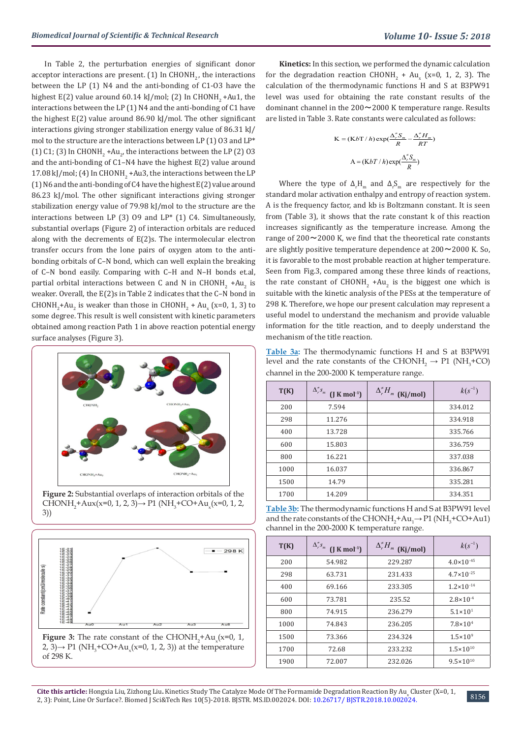In Table 2, the perturbation energies of significant donor acceptor interactions are present.  $(1)$  In CHONH<sub>2</sub>, the interactions between the LP (1) N4 and the anti-bonding of C1-O3 have the highest E(2) value around  $60.14$  kJ/mol; (2) In CHONH<sub>2</sub> +Au1, the interactions between the LP (1) N4 and the anti-bonding of C1 have the highest E(2) value around 86.90 kJ/mol. The other significant interactions giving stronger stabilization energy value of 86.31 kJ/ mol to the structure are the interactions between LP (1) O3 and LP\* (1) C1; (3) In CHONH<sub>2</sub> +Au<sub>2</sub>, the interactions between the LP (2) O3 and the anti-bonding of C1–N4 have the highest E(2) value around  $17.08$  kJ/mol; (4) In CHONH<sub>2</sub> +Au3, the interactions between the LP (1) N6 and the anti-bonding of C4 have the highest E(2) value around 86.23 kJ/mol. The other significant interactions giving stronger stabilization energy value of 79.98 kJ/mol to the structure are the interactions between LP (3) O9 and LP\* (1) C4. Simultaneously, substantial overlaps (Figure 2) of interaction orbitals are reduced along with the decrements of E(2)s. The intermolecular electron transfer occurs from the lone pairs of oxygen atom to the antibonding orbitals of C–N bond, which can well explain the breaking of C–N bond easily. Comparing with C–H and N–H bonds et.al, partial orbital interactions between C and N in  $CHONH_2$  +Au<sub>2</sub> is weaker. Overall, the E(2)s in Table 2 indicates that the C–N bond in  $CHONH<sub>2</sub> + Au<sub>2</sub>$  is weaker than those in  $CHONH<sub>2</sub> + Au<sub>x</sub>$  (x=0, 1, 3) to some degree. This result is well consistent with kinetic parameters obtained among reaction Path 1 in above reaction potential energy surface analyses (Figure 3).



**Figure 2:** Substantial overlaps of interaction orbitals of the CHONH<sub>2</sub>+Aux(x=0, 1, 2, 3)→ P1 (NH<sub>3</sub>+CO+Au<sub>x</sub>(x=0, 1, 2, 3))



**Kinetics:** In this section, we performed the dynamic calculation for the degradation reaction  $CHONH_2 + Au_x$  (x=0, 1, 2, 3). The calculation of the thermodynamic functions H and S at B3PW91 level was used for obtaining the rate constant results of the dominant channel in the  $200 \sim 2000$  K temperature range. Results are listed in Table 3. Rate constants were calculated as follows:

$$
K = (KbT/h) \exp(\frac{\Delta_r^* S_m}{R} - \frac{\Delta_r^* H_m}{RT})
$$

$$
A = (KbT/h) \exp(\frac{\Delta_r^* S_m}{R})
$$

Where the type of  $\Delta_r H_m$  and  $\Delta_r S_m$  are respectively for the standard molar activation enthalpy and entropy of reaction system. A is the frequency factor, and kb is Boltzmann constant. It is seen from (Table 3), it shows that the rate constant k of this reaction increases significantly as the temperature increase. Among the range of  $200 \sim 2000$  K, we find that the theoretical rate constants are slightly positive temperature dependence at 200~2000 K. So, it is favorable to the most probable reaction at higher temperature. Seen from Fig.3, compared among these three kinds of reactions, the rate constant of  $CHONH_2$  +Au<sub>2</sub> is the biggest one which is suitable with the kinetic analysis of the PESs at the temperature of 298 K. Therefore, we hope our present calculation may represent a useful model to understand the mechanism and provide valuable information for the title reaction, and to deeply understand the mechanism of the title reaction.

**Table 3a:** The thermodynamic functions H and S at B3PW91 level and the rate constants of the CHONH<sub>2</sub>  $\rightarrow$  P1 (NH<sub>3</sub>+CO) channel in the 200-2000 K temperature range.

| T(K) | $\Delta_r^* s_m$<br>$(J$ K mol <sup>-1</sup> ) | $\Delta_r^* H_m$ (Kj/mol) | $k(s^{-1})$ |
|------|------------------------------------------------|---------------------------|-------------|
| 200  | 7.594                                          |                           | 334.012     |
| 298  | 11.276                                         |                           | 334.918     |
| 400  | 13.728                                         |                           | 335.766     |
| 600  | 15.803                                         |                           | 336.759     |
| 800  | 16.221                                         |                           | 337.038     |
| 1000 | 16.037                                         |                           | 336.867     |
| 1500 | 14.79                                          |                           | 335.281     |
| 1700 | 14.209                                         |                           | 334.351     |

**Table 3b:** The thermodynamic functions H and S at B3PW91 level and the rate constants of the CHONH<sub>2</sub>+Au<sub>1</sub> $\rightarrow$  P1 (NH<sub>3</sub>+CO+Au1) channel in the 200-2000 K temperature range.

| T(K) | $\Delta_r^* s_m$<br>$(J K mol-1)$ | $\Delta_r^* H_m$ (Kj/mol) | $k(s^{-1})$           |
|------|-----------------------------------|---------------------------|-----------------------|
| 200  | 54.982                            | 229.287                   | $4.0 \times 10^{-45}$ |
| 298  | 63.731                            | 231.433                   | $4.7 \times 10^{-25}$ |
| 400  | 69.166                            | 233.305                   | $1.2 \times 10^{-14}$ |
| 600  | 73.781                            | 235.52                    | $2.8 \times 10^{-4}$  |
| 800  | 74.915                            | 236.279                   | $5.1 \times 10^{1}$   |
| 1000 | 74.843                            | 236.205                   | $7.8 \times 10^{4}$   |
| 1500 | 73.366                            | 234.324                   | $1.5 \times 10^{9}$   |
| 1700 | 72.68                             | 233.232                   | $1.5 \times 10^{10}$  |
| 1900 | 72.007                            | 232.026                   | $9.5 \times 10^{10}$  |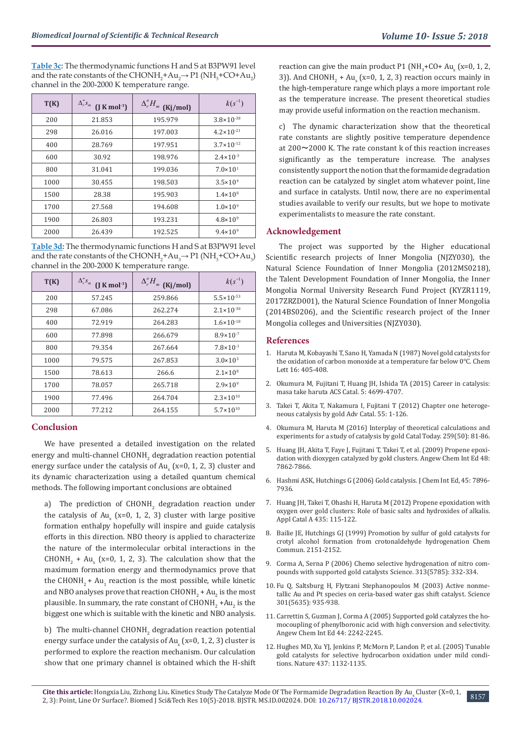**Table 3c:** The thermodynamic functions H and S at B3PW91 level and the rate constants of the CHONH<sub>2</sub>+Au<sub>2</sub> $\rightarrow$  P1 (NH<sub>3</sub>+CO+Au<sub>2</sub>) channel in the 200-2000 K temperature range.

| T(K) | $\Delta_r^{\neq} s_m$<br>$(J K mol-1)$ | $\Delta_r^* H_m$ (Kj/mol) | $k(s^{-1})$           |
|------|----------------------------------------|---------------------------|-----------------------|
| 200  | 21.853                                 | 195.979                   | $3.8 \times 10^{-38}$ |
| 298  | 26.016                                 | 197.003                   | $4.2 \times 10^{-21}$ |
| 400  | 28.769                                 | 197.951                   | $3.7 \times 10^{-12}$ |
| 600  | 30.92                                  | 198.976                   | $2.4 \times 10^{-3}$  |
| 800  | 31.041                                 | 199.036                   | $7.0 \times 10^{1}$   |
| 1000 | 30.455                                 | 198.503                   | $3.5 \times 10^{4}$   |
| 1500 | 28.38                                  | 195.903                   | $1.4 \times 10^8$     |
| 1700 | 27.568                                 | 194.608                   | $1.0 \times 10^{9}$   |
| 1900 | 26.803                                 | 193.231                   | $4.8 \times 10^{9}$   |
| 2000 | 26.439                                 | 192.525                   | $9.4 \times 10^{9}$   |

**Table 3d:** The thermodynamic functions H and S at B3PW91 level and the rate constants of the CHONH<sub>2</sub>+Au<sub>3</sub> $\rightarrow$  P1 (NH<sub>3</sub>+CO+Au<sub>3</sub>) channel in the 200-2000 K temperature range.

| T(K) | $\Delta_r^* s_m$<br>$(J K mol-1)$ | $\Delta_r^* H_m$ (Kj/mol) | $k(s^{-1})$           |
|------|-----------------------------------|---------------------------|-----------------------|
| 200  | 57.245                            | 259.866                   | $5.5 \times 10^{-53}$ |
| 298  | 67.086                            | 262.274                   | $2.1 \times 10^{-30}$ |
| 400  | 72.919                            | 264.283                   | $1.6 \times 10^{-18}$ |
| 600  | 77.898                            | 266.679                   | $8.9 \times 10^{-7}$  |
| 800  | 79.354                            | 267.664                   | $7.8 \times 10^{-1}$  |
| 1000 | 79.575                            | 267.853                   | $3.0 \times 10^{3}$   |
| 1500 | 78.613                            | 266.6                     | $2.1 \times 10^8$     |
| 1700 | 78.057                            | 265.718                   | $2.9 \times 10^{9}$   |
| 1900 | 77.496                            | 264.704                   | $2.3 \times 10^{10}$  |
| 2000 | 77.212                            | 264.155                   | $5.7 \times 10^{10}$  |

# **Conclusion**

We have presented a detailed investigation on the related energy and multi-channel  $CHONH<sub>2</sub>$  degradation reaction potential energy surface under the catalysis of  ${\rm Au}_{\rm x}$  (x=0, 1, 2, 3) cluster and its dynamic characterization using a detailed quantum chemical methods. The following important conclusions are obtained

a) The prediction of  $CHONH<sub>2</sub>$  degradation reaction under the catalysis of  $Au_x$  (x=0, 1, 2, 3) cluster with large positive formation enthalpy hopefully will inspire and guide catalysis efforts in this direction. NBO theory is applied to characterize the nature of the intermolecular orbital interactions in the  $CHONH<sub>2</sub> + Au<sub>x</sub>$  (x=0, 1, 2, 3). The calculation show that the maximum formation energy and thermodynamics prove that the  $CHONH_2 + Au_1$  reaction is the most possible, while kinetic and NBO analyses prove that reaction  $\text{CHONH}_{2}$  +  $\text{Au}_{2}$  is the most plausible. In summary, the rate constant of  $\mathtt{CHONH}_2$  +Au $_2$  is the biggest one which is suitable with the kinetic and NBO analysis.

b) The multi-channel  $CHONH<sub>2</sub>$  degradation reaction potential energy surface under the catalysis of  ${\rm Au}_{\rm x}$  (x=0, 1, 2, 3) cluster is performed to explore the reaction mechanism. Our calculation show that one primary channel is obtained which the H-shift

reaction can give the main product P1 ( $NH_3+CO+Au_x$  (x=0, 1, 2, 3)). And  $CHONH_2 + Au_x$  (x=0, 1, 2, 3) reaction occurs mainly in the high-temperature range which plays a more important role as the temperature increase. The present theoretical studies may provide useful information on the reaction mechanism.

c) The dynamic characterization show that the theoretical rate constants are slightly positive temperature dependence at 200~2000 K. The rate constant k of this reaction increases significantly as the temperature increase. The analyses consistently support the notion that the formamide degradation reaction can be catalyzed by singlet atom whatever point, line and surface in catalysts. Until now, there are no experimental studies available to verify our results, but we hope to motivate experimentalists to measure the rate constant.

### **Acknowledgement**

The project was supported by the Higher educational Scientific research projects of Inner Mongolia (NJZY030), the Natural Science Foundation of Inner Mongolia (2012MS0218), the Talent Development Foundation of Inner Mongolia, the Inner Mongolia Normal University Research Fund Project (KYZR1119, 2017ZRZD001), the Natural Science Foundation of Inner Mongolia (2014BS0206), and the Scientific research project of the Inner Mongolia colleges and Universities (NJZY030).

## **References**

- 1. [Haruta M, Kobayashi T, Sano H, Yamada N \(1987\) Novel gold catalysts for](http://www.readcube.com/articles/10.1246/cl.1987.405) [the oxidation of carbon monoxide at a temperature far below 0](http://www.readcube.com/articles/10.1246/cl.1987.405)℃. Chem [Lett 16: 405-408.](http://www.readcube.com/articles/10.1246/cl.1987.405)
- 2. [Okumura M, Fujitani T, Huang JH, Ishida TA \(2015\) Career in catalysis:](https://pubs.acs.org/doi/abs/10.1021/acscatal.5b01122) [masa take haruta ACS Catal. 5: 4699-4707.](https://pubs.acs.org/doi/abs/10.1021/acscatal.5b01122)
- 3. [Takei T, Akita T, Nakamura I, Fujitani T \(2012\) Chapter one heteroge](https://www.researchgate.net/publication/277680975_Heterogeneous_Catalysis_by_Gold)[neous catalysis by gold Adv Catal. 55: 1-126.](https://www.researchgate.net/publication/277680975_Heterogeneous_Catalysis_by_Gold)
- 4. [Okumura M, Haruta M \(2016\) Interplay of theoretical calculations and](https://www.researchgate.net/publication/279234470_Interplay_of_Theoretical_Calculations_and_Experiments_for_a_Study_of_Catalysis_by_Gold) [experiments for a study of catalysis by gold Catal Today. 259\(50\): 81-86.](https://www.researchgate.net/publication/279234470_Interplay_of_Theoretical_Calculations_and_Experiments_for_a_Study_of_Catalysis_by_Gold)
- 5. [Huang JH, Akita T, Faye J, Fujitani T, Takei T, et al. \(2009\) Propene epoxi](https://onlinelibrary.wiley.com/doi/abs/10.1002/anie.200903011)[dation with dioxygen catalyzed by gold clusters. Angew Chem Int Ed 48:](https://onlinelibrary.wiley.com/doi/abs/10.1002/anie.200903011) [7862-7866.](https://onlinelibrary.wiley.com/doi/abs/10.1002/anie.200903011)
- 6. [Hashmi ASK, Hutchings G \(2006\) Gold catalysis. J Chem Int Ed, 45: 7896-](https://onlinelibrary.wiley.com/doi/10.1002/anie.200602454) [7936.](https://onlinelibrary.wiley.com/doi/10.1002/anie.200602454)
- 7. [Huang JH, Takei T, Ohashi H, Haruta M \(2012\) Propene epoxidation with](https://www.researchgate.net/publication/257373951_Propene_epoxidation_with_oxygen_over_gold_clusters_Role_of_basic_salts_and_hydroxides_of_alkalis) [oxygen over gold clusters: Role of basic salts and hydroxides of alkalis.](https://www.researchgate.net/publication/257373951_Propene_epoxidation_with_oxygen_over_gold_clusters_Role_of_basic_salts_and_hydroxides_of_alkalis) [Appl Catal A 435: 115-122.](https://www.researchgate.net/publication/257373951_Propene_epoxidation_with_oxygen_over_gold_clusters_Role_of_basic_salts_and_hydroxides_of_alkalis)
- 8. Bailie JE, Hutchings GJ (1999) Promotion by sulfur of gold catalysts for crotyl alcohol formation from crotonaldehyde hydrogenation Chem Commun. 2151-2152.
- 9. [Corma A, Serna P \(2006\) Chemo selective hydrogenation of nitro com](https://www.ncbi.nlm.nih.gov/pubmed/16857934)[pounds with supported gold catalysts Science. 313\(5785\): 332-334.](https://www.ncbi.nlm.nih.gov/pubmed/16857934)
- 10. [Fu Q, Saltsburg H, Flytzani Stephanopoulos M \(2003\) Active nonme](http://science.sciencemag.org/content/301/5635/935)[tallic Au and Pt species on ceria-based water gas shift catalyst. Science](http://science.sciencemag.org/content/301/5635/935) [301\(5635\): 935-938.](http://science.sciencemag.org/content/301/5635/935)
- 11. [Carrettin S, Guzman J, Corma A \(2005\) Supported gold catalyzes the ho](https://onlinelibrary.wiley.com/doi/full/10.1002/anie.200462560)[mocoupling of phenylboronic acid with high conversion and selectivity.](https://onlinelibrary.wiley.com/doi/full/10.1002/anie.200462560) [Angew Chem Int Ed 44: 2242-2245.](https://onlinelibrary.wiley.com/doi/full/10.1002/anie.200462560)
- 12. [Hughes MD, Xu YJ, Jenkins P, McMorn P, Landon P, et al. \(2005\) Tunable](https://www.nature.com/articles/nature04190) [gold catalysts for selective hydrocarbon oxidation under mild condi](https://www.nature.com/articles/nature04190)[tions. Nature 437: 1132-1135.](https://www.nature.com/articles/nature04190)

8157